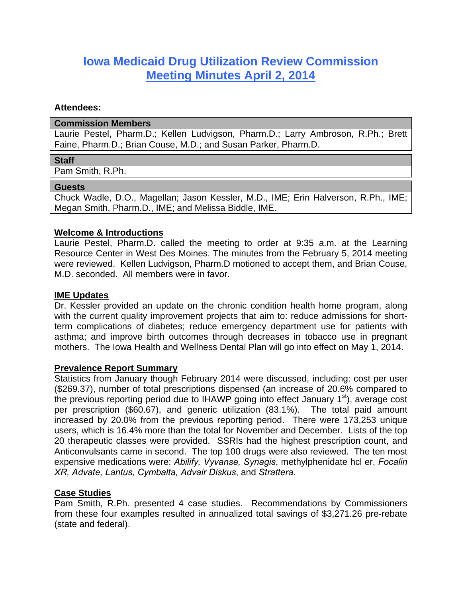# **Iowa Medicaid Drug Utilization Review Commission Meeting Minutes April 2, 2014**

#### **Attendees:**

#### **Commission Members**

Laurie Pestel, Pharm.D.; Kellen Ludvigson, Pharm.D.; Larry Ambroson, R.Ph.; Brett Faine, Pharm.D.; Brian Couse, M.D.; and Susan Parker, Pharm.D.

#### **Staff**

Pam Smith, R.Ph.

#### **Guests**

Chuck Wadle, D.O., Magellan; Jason Kessler, M.D., IME; Erin Halverson, R.Ph., IME; Megan Smith, Pharm.D., IME; and Melissa Biddle, IME.

#### **Welcome & Introductions**

Laurie Pestel, Pharm.D. called the meeting to order at 9:35 a.m. at the Learning Resource Center in West Des Moines. The minutes from the February 5, 2014 meeting were reviewed. Kellen Ludvigson, Pharm.D motioned to accept them, and Brian Couse, M.D. seconded. All members were in favor.

#### **IME Updates**

Dr. Kessler provided an update on the chronic condition health home program, along with the current quality improvement projects that aim to: reduce admissions for shortterm complications of diabetes; reduce emergency department use for patients with asthma; and improve birth outcomes through decreases in tobacco use in pregnant mothers. The Iowa Health and Wellness Dental Plan will go into effect on May 1, 2014.

#### **Prevalence Report Summary**

Statistics from January though February 2014 were discussed, including: cost per user (\$269.37), number of total prescriptions dispensed (an increase of 20.6% compared to the previous reporting period due to IHAWP going into effect January 1<sup>st</sup>), average cost per prescription (\$60.67), and generic utilization (83.1%). The total paid amount increased by 20.0% from the previous reporting period. There were 173,253 unique users, which is 16.4% more than the total for November and December. Lists of the top 20 therapeutic classes were provided. SSRIs had the highest prescription count, and Anticonvulsants came in second. The top 100 drugs were also reviewed. The ten most expensive medications were: *Abilify, Vyvanse, Synagis*, methylphenidate hcl er, *Focalin XR, Advate, Lantus, Cymbalta, Advair Diskus*, and *Strattera*.

#### **Case Studies**

Pam Smith, R.Ph. presented 4 case studies. Recommendations by Commissioners from these four examples resulted in annualized total savings of \$3,271.26 pre-rebate (state and federal).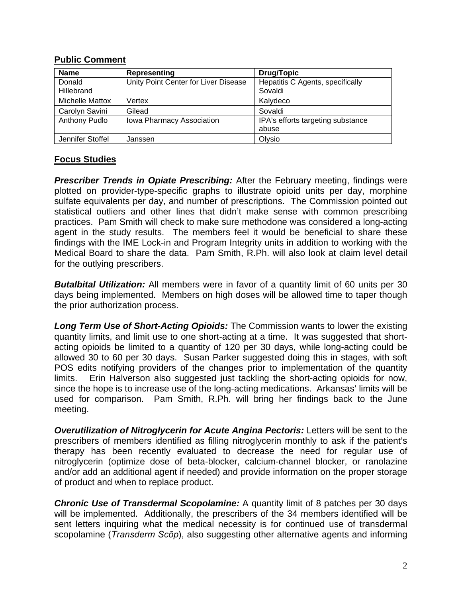## **Public Comment**

| <b>Name</b>          | Representing                         | <b>Drug/Topic</b>                           |
|----------------------|--------------------------------------|---------------------------------------------|
| Donald<br>Hillebrand | Unity Point Center for Liver Disease | Hepatitis C Agents, specifically<br>Sovaldi |
| Michelle Mattox      | Vertex                               | Kalydeco                                    |
| Carolyn Savini       | Gilead                               | Sovaldi                                     |
| Anthony Pudlo        | Iowa Pharmacy Association            | IPA's efforts targeting substance<br>abuse  |
| Jennifer Stoffel     | Janssen                              | Olysio                                      |

# **Focus Studies**

**Prescriber Trends in Opiate Prescribing:** After the February meeting, findings were plotted on provider-type-specific graphs to illustrate opioid units per day, morphine sulfate equivalents per day, and number of prescriptions. The Commission pointed out statistical outliers and other lines that didn't make sense with common prescribing practices. Pam Smith will check to make sure methodone was considered a long-acting agent in the study results. The members feel it would be beneficial to share these findings with the IME Lock-in and Program Integrity units in addition to working with the Medical Board to share the data. Pam Smith, R.Ph. will also look at claim level detail for the outlying prescribers.

*Butalbital Utilization:* All members were in favor of a quantity limit of 60 units per 30 days being implemented. Members on high doses will be allowed time to taper though the prior authorization process.

*Long Term Use of Short-Acting Opioids:* The Commission wants to lower the existing quantity limits, and limit use to one short-acting at a time. It was suggested that shortacting opioids be limited to a quantity of 120 per 30 days, while long-acting could be allowed 30 to 60 per 30 days. Susan Parker suggested doing this in stages, with soft POS edits notifying providers of the changes prior to implementation of the quantity limits. Erin Halverson also suggested just tackling the short-acting opioids for now, since the hope is to increase use of the long-acting medications. Arkansas' limits will be used for comparison. Pam Smith, R.Ph. will bring her findings back to the June meeting.

**Overutilization of Nitroglycerin for Acute Angina Pectoris:** Letters will be sent to the prescribers of members identified as filling nitroglycerin monthly to ask if the patient's therapy has been recently evaluated to decrease the need for regular use of nitroglycerin (optimize dose of beta-blocker, calcium-channel blocker, or ranolazine and/or add an additional agent if needed) and provide information on the proper storage of product and when to replace product.

*Chronic Use of Transdermal Scopolamine:* A quantity limit of 8 patches per 30 days will be implemented. Additionally, the prescribers of the 34 members identified will be sent letters inquiring what the medical necessity is for continued use of transdermal scopolamine (*Transderm Scōp*), also suggesting other alternative agents and informing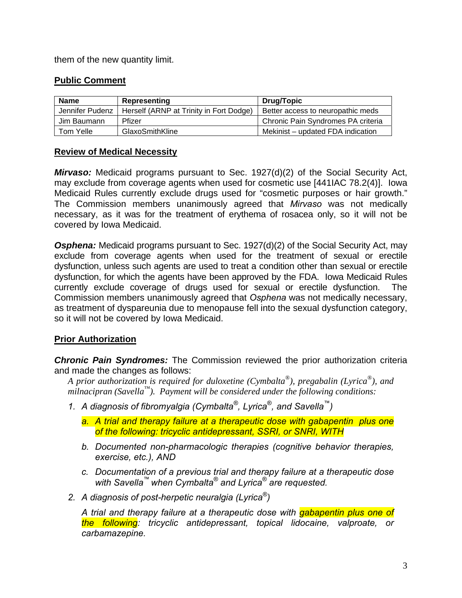them of the new quantity limit.

## **Public Comment**

| <b>Name</b>     | Representing                            | <b>Drug/Topic</b>                  |
|-----------------|-----------------------------------------|------------------------------------|
| Jennifer Pudenz | Herself (ARNP at Trinity in Fort Dodge) | Better access to neuropathic meds  |
| Jim Baumann.    | <b>Pfizer</b>                           | Chronic Pain Syndromes PA criteria |
| Tom Yelle       | GlaxoSmithKline                         | Mekinist – updated FDA indication  |

### **Review of Medical Necessity**

*Mirvaso:* Medicaid programs pursuant to Sec. 1927(d)(2) of the Social Security Act, may exclude from coverage agents when used for cosmetic use [441IAC 78.2(4)]. Iowa Medicaid Rules currently exclude drugs used for "cosmetic purposes or hair growth." The Commission members unanimously agreed that *Mirvaso* was not medically necessary, as it was for the treatment of erythema of rosacea only, so it will not be covered by Iowa Medicaid.

**Osphena:** Medicaid programs pursuant to Sec. 1927(d)(2) of the Social Security Act, may exclude from coverage agents when used for the treatment of sexual or erectile dysfunction, unless such agents are used to treat a condition other than sexual or erectile dysfunction, for which the agents have been approved by the FDA. Iowa Medicaid Rules currently exclude coverage of drugs used for sexual or erectile dysfunction. The Commission members unanimously agreed that *Osphena* was not medically necessary, as treatment of dyspareunia due to menopause fell into the sexual dysfunction category, so it will not be covered by Iowa Medicaid.

# **Prior Authorization**

*Chronic Pain Syndromes:* The Commission reviewed the prior authorization criteria and made the changes as follows:

- *A prior authorization is required for duloxetine (Cymbalta®), pregabalin (Lyrica®), and milnacipran (Savella™). Payment will be considered under the following conditions:*
- *1. A diagnosis of fibromyalgia (Cymbalta®, Lyrica®, and Savella™)* 
	- *a. A trial and therapy failure at a therapeutic dose with gabapentin plus one of the following: tricyclic antidepressant, SSRI, or SNRI, WITH*
	- *b. Documented non-pharmacologic therapies (cognitive behavior therapies, exercise, etc.), AND*
	- *c. Documentation of a previous trial and therapy failure at a therapeutic dose with Savella™ when Cymbalta® and Lyrica® are requested.*
- *2. A diagnosis of post-herpetic neuralgia (Lyrica®)*

*A trial and therapy failure at a therapeutic dose with gabapentin plus one of the following: tricyclic antidepressant, topical lidocaine, valproate, or carbamazepine.*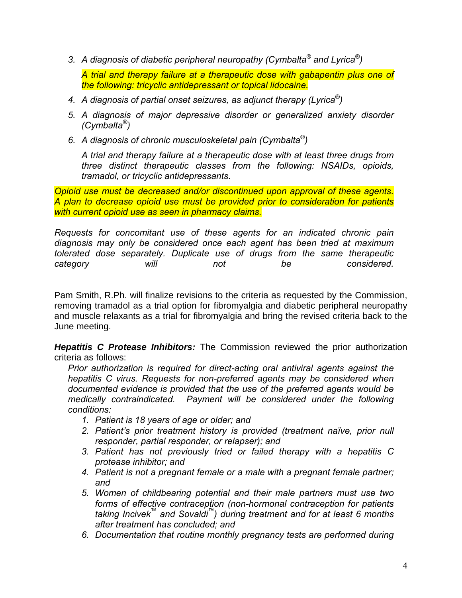*3. A diagnosis of diabetic peripheral neuropathy (Cymbalta® and Lyrica®)* 

*A trial and therapy failure at a therapeutic dose with gabapentin plus one of the following: tricyclic antidepressant or topical lidocaine.* 

- *4. A diagnosis of partial onset seizures, as adjunct therapy (Lyrica®)*
- *5. A diagnosis of major depressive disorder or generalized anxiety disorder (Cymbalta®)*
- *6. A diagnosis of chronic musculoskeletal pain (Cymbalta®)*

*A trial and therapy failure at a therapeutic dose with at least three drugs from three distinct therapeutic classes from the following: NSAIDs, opioids, tramadol, or tricyclic antidepressants.* 

*Opioid use must be decreased and/or discontinued upon approval of these agents. A plan to decrease opioid use must be provided prior to consideration for patients with current opioid use as seen in pharmacy claims.* 

*Requests for concomitant use of these agents for an indicated chronic pain diagnosis may only be considered once each agent has been tried at maximum tolerated dose separately. Duplicate use of drugs from the same therapeutic category will not be considered.* 

Pam Smith, R.Ph. will finalize revisions to the criteria as requested by the Commission, removing tramadol as a trial option for fibromyalgia and diabetic peripheral neuropathy and muscle relaxants as a trial for fibromyalgia and bring the revised criteria back to the June meeting.

*Hepatitis C Protease Inhibitors:* The Commission reviewed the prior authorization criteria as follows:

*Prior authorization is required for direct-acting oral antiviral agents against the hepatitis C virus. Requests for non-preferred agents may be considered when documented evidence is provided that the use of the preferred agents would be medically contraindicated. Payment will be considered under the following conditions:* 

- *1. Patient is 18 years of age or older; and*
- *2. Patient's prior treatment history is provided (treatment naïve, prior null responder, partial responder, or relapser); and*
- *3. Patient has not previously tried or failed therapy with a hepatitis C protease inhibitor; and*
- *4. Patient is not a pregnant female or a male with a pregnant female partner; and*
- *5. Women of childbearing potential and their male partners must use two forms of effective contraception (non-hormonal contraception for patients taking Incivek™ and Sovaldi™) during treatment and for at least 6 months after treatment has concluded; and*
- *6. Documentation that routine monthly pregnancy tests are performed during*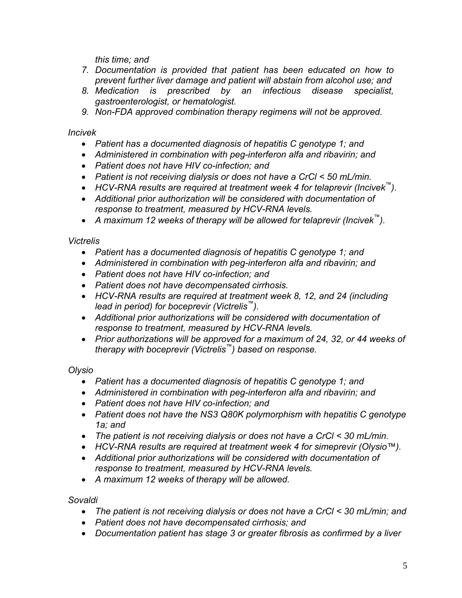*this time; and* 

- *7. Documentation is provided that patient has been educated on how to prevent further liver damage and patient will abstain from alcohol use; and*
- *8. Medication is prescribed by an infectious disease specialist, gastroenterologist, or hematologist.*
- *9. Non-FDA approved combination therapy regimens will not be approved.*

*Incivek* 

- *Patient has a documented diagnosis of hepatitis C genotype 1; and*
- *Administered in combination with peg-interferon alfa and ribavirin; and*
- *Patient does not have HIV co-infection; and*
- *Patient is not receiving dialysis or does not have a CrCl < 50 mL/min.*
- *HCV-RNA results are required at treatment week 4 for telaprevir (Incivek™).*
- *Additional prior authorization will be considered with documentation of response to treatment, measured by HCV-RNA levels.*
- *A maximum 12 weeks of therapy will be allowed for telaprevir (Incivek™).*

# *Victrelis*

- *Patient has a documented diagnosis of hepatitis C genotype 1; and*
- *Administered in combination with peg-interferon alfa and ribavirin; and*
- *Patient does not have HIV co-infection; and*
- *Patient does not have decompensated cirrhosis.*
- *HCV-RNA results are required at treatment week 8, 12, and 24 (including lead in period) for boceprevir (Victrelis™).*
- *Additional prior authorizations will be considered with documentation of response to treatment, measured by HCV-RNA levels.*
- *Prior authorizations will be approved for a maximum of 24, 32, or 44 weeks of therapy with boceprevir (Victrelis™) based on response.*

*Olysio* 

- *Patient has a documented diagnosis of hepatitis C genotype 1; and*
- *Administered in combination with peg-interferon alfa and ribavirin; and*
- *Patient does not have HIV co-infection; and*
- *Patient does not have the NS3 Q80K polymorphism with hepatitis C genotype 1a; and*
- *The patient is not receiving dialysis or does not have a CrCl < 30 mL/min.*
- *HCV-RNA results are required at treatment week 4 for simeprevir (Olysio™).*
- *Additional prior authorizations will be considered with documentation of response to treatment, measured by HCV-RNA levels.*
- *A maximum 12 weeks of therapy will be allowed.*

*Sovaldi* 

- *The patient is not receiving dialysis or does not have a CrCl < 30 mL/min; and*
- *Patient does not have decompensated cirrhosis; and*
- *Documentation patient has stage 3 or greater fibrosis as confirmed by a liver*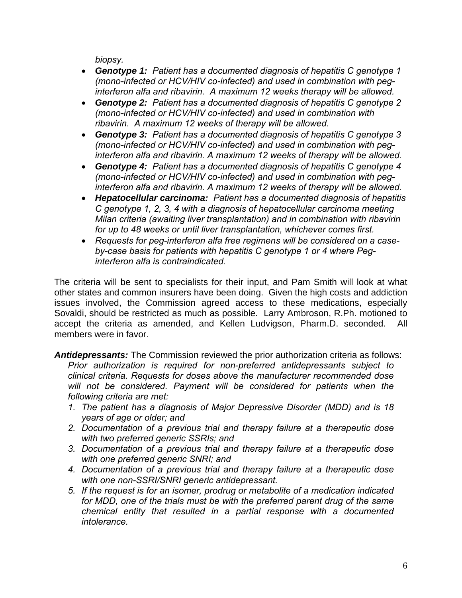*biopsy.* 

- *Genotype 1: Patient has a documented diagnosis of hepatitis C genotype 1 (mono-infected or HCV/HIV co-infected) and used in combination with peginterferon alfa and ribavirin. A maximum 12 weeks therapy will be allowed.*
- *Genotype 2: Patient has a documented diagnosis of hepatitis C genotype 2 (mono-infected or HCV/HIV co-infected) and used in combination with ribavirin. A maximum 12 weeks of therapy will be allowed.*
- *Genotype 3: Patient has a documented diagnosis of hepatitis C genotype 3 (mono-infected or HCV/HIV co-infected) and used in combination with peginterferon alfa and ribavirin. A maximum 12 weeks of therapy will be allowed.*
- *Genotype 4: Patient has a documented diagnosis of hepatitis C genotype 4 (mono-infected or HCV/HIV co-infected) and used in combination with peginterferon alfa and ribavirin. A maximum 12 weeks of therapy will be allowed.*
- *Hepatocellular carcinoma: Patient has a documented diagnosis of hepatitis C genotype 1, 2, 3, 4 with a diagnosis of hepatocellular carcinoma meeting Milan criteria (awaiting liver transplantation) and in combination with ribavirin for up to 48 weeks or until liver transplantation, whichever comes first.*
- *Requests for peg-interferon alfa free regimens will be considered on a caseby-case basis for patients with hepatitis C genotype 1 or 4 where Peginterferon alfa is contraindicated.*

The criteria will be sent to specialists for their input, and Pam Smith will look at what other states and common insurers have been doing. Given the high costs and addiction issues involved, the Commission agreed access to these medications, especially Sovaldi, should be restricted as much as possible. Larry Ambroson, R.Ph. motioned to accept the criteria as amended, and Kellen Ludvigson, Pharm.D. seconded. All members were in favor.

*Antidepressants:* The Commission reviewed the prior authorization criteria as follows: *Prior authorization is required for non-preferred antidepressants subject to clinical criteria. Requests for doses above the manufacturer recommended dose will not be considered. Payment will be considered for patients when the following criteria are met:* 

- *1. The patient has a diagnosis of Major Depressive Disorder (MDD) and is 18 years of age or older; and*
- *2. Documentation of a previous trial and therapy failure at a therapeutic dose with two preferred generic SSRIs; and*
- *3. Documentation of a previous trial and therapy failure at a therapeutic dose with one preferred generic SNRI; and*
- *4. Documentation of a previous trial and therapy failure at a therapeutic dose with one non-SSRI/SNRI generic antidepressant.*
- *5. If the request is for an isomer, prodrug or metabolite of a medication indicated*  for MDD, one of the trials must be with the preferred parent drug of the same *chemical entity that resulted in a partial response with a documented intolerance.*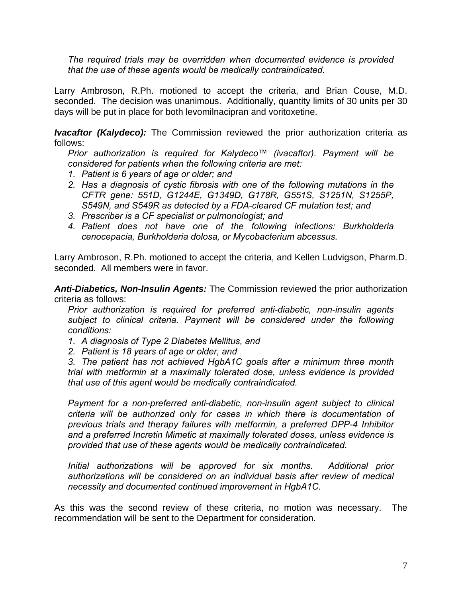*The required trials may be overridden when documented evidence is provided that the use of these agents would be medically contraindicated.* 

Larry Ambroson, R.Ph. motioned to accept the criteria, and Brian Couse, M.D. seconded. The decision was unanimous. Additionally, quantity limits of 30 units per 30 days will be put in place for both levomilnacipran and voritoxetine.

*Ivacaftor (Kalydeco):* The Commission reviewed the prior authorization criteria as follows:

*Prior authorization is required for Kalydeco™ (ivacaftor). Payment will be considered for patients when the following criteria are met:* 

- *1. Patient is 6 years of age or older; and*
- *2. Has a diagnosis of cystic fibrosis with one of the following mutations in the CFTR gene: 551D, G1244E, G1349D, G178R, G551S, S1251N, S1255P, S549N, and S549R as detected by a FDA-cleared CF mutation test; and*
- *3. Prescriber is a CF specialist or pulmonologist; and*
- *4. Patient does not have one of the following infections: Burkholderia cenocepacia, Burkholderia dolosa, or Mycobacterium abcessus.*

Larry Ambroson, R.Ph. motioned to accept the criteria, and Kellen Ludvigson, Pharm.D. seconded. All members were in favor.

*Anti-Diabetics, Non-Insulin Agents:* The Commission reviewed the prior authorization criteria as follows:

*Prior authorization is required for preferred anti-diabetic, non-insulin agents subject to clinical criteria. Payment will be considered under the following conditions:* 

- *1. A diagnosis of Type 2 Diabetes Mellitus, and*
- *2. Patient is 18 years of age or older, and*

*3. The patient has not achieved HgbA1C goals after a minimum three month trial with metformin at a maximally tolerated dose, unless evidence is provided that use of this agent would be medically contraindicated.* 

*Payment for a non-preferred anti-diabetic, non-insulin agent subject to clinical criteria will be authorized only for cases in which there is documentation of previous trials and therapy failures with metformin, a preferred DPP-4 Inhibitor and a preferred Incretin Mimetic at maximally tolerated doses, unless evidence is provided that use of these agents would be medically contraindicated.* 

*Initial authorizations will be approved for six months. Additional prior authorizations will be considered on an individual basis after review of medical necessity and documented continued improvement in HgbA1C.*

As this was the second review of these criteria, no motion was necessary. The recommendation will be sent to the Department for consideration.